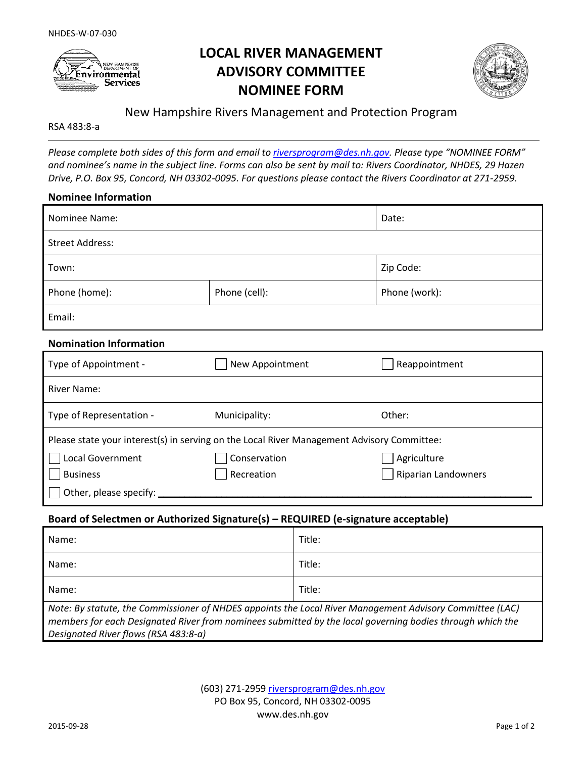

# **LOCAL RIVER MANAGEMENT ADVISORY COMMITTEE NOMINEE FORM**



# New Hampshire Rivers Management and Protection Program

RSA 483:8-a

*Please complete both sides of this form and email t[o riversprogram@des.nh.gov.](mailto:riversprogram@des.nh.gov) Please type "NOMINEE FORM" and nominee's name in the subject line. Forms can also be sent by mail to: Rivers Coordinator, NHDES, 29 Hazen Drive, P.O. Box 95, Concord, NH 03302-0095. For questions please contact the Rivers Coordinator at 271-2959.*

#### **Nominee Information**

| Nominee Name:          |               | Date:         |  |  |
|------------------------|---------------|---------------|--|--|
| <b>Street Address:</b> |               |               |  |  |
| Town:                  |               | Zip Code:     |  |  |
| Phone (home):          | Phone (cell): | Phone (work): |  |  |
| Email:                 |               |               |  |  |

#### **Nomination Information**

| Type of Appointment -                                                                      | New Appointment | Reappointment              |  |  |
|--------------------------------------------------------------------------------------------|-----------------|----------------------------|--|--|
| <b>River Name:</b>                                                                         |                 |                            |  |  |
| Type of Representation -                                                                   | Municipality:   | Other:                     |  |  |
| Please state your interest(s) in serving on the Local River Management Advisory Committee: |                 |                            |  |  |
| Local Government                                                                           | Conservation    | Agriculture                |  |  |
| <b>Business</b>                                                                            | Recreation      | <b>Riparian Landowners</b> |  |  |
| Other, please specify:                                                                     |                 |                            |  |  |

#### **Board of Selectmen or Authorized Signature(s) – REQUIRED (e-signature acceptable)**

| Name:                                                                                                                                                                                                                                                         | Title: |  |
|---------------------------------------------------------------------------------------------------------------------------------------------------------------------------------------------------------------------------------------------------------------|--------|--|
| Name:                                                                                                                                                                                                                                                         | Title: |  |
| Name:                                                                                                                                                                                                                                                         | Title: |  |
| Note: By statute, the Commissioner of NHDES appoints the Local River Management Advisory Committee (LAC)<br>members for each Designated River from nominees submitted by the local governing bodies through which the<br>Designated River flows (RSA 483:8-a) |        |  |